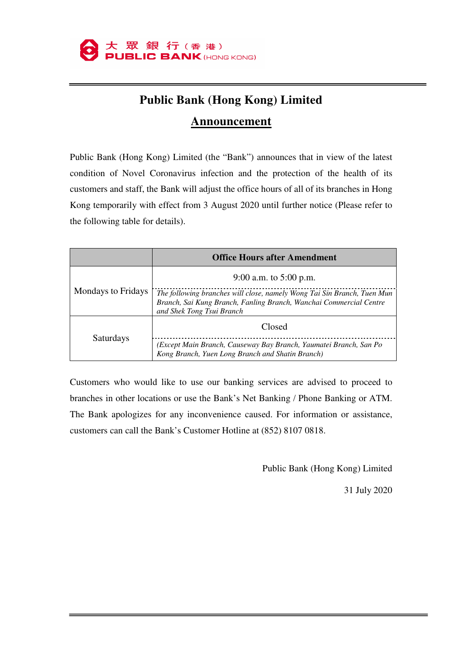

## **Public Bank (Hong Kong) Limited**

## **Announcement**

Public Bank (Hong Kong) Limited (the "Bank") announces that in view of the latest condition of Novel Coronavirus infection and the protection of the health of its customers and staff, the Bank will adjust the office hours of all of its branches in Hong Kong temporarily with effect from 3 August 2020 until further notice (Please refer to the following table for details).

|                           | <b>Office Hours after Amendment</b>                                                                                                                                        |
|---------------------------|----------------------------------------------------------------------------------------------------------------------------------------------------------------------------|
| <b>Mondays to Fridays</b> | 9:00 a.m. to $5:00$ p.m.                                                                                                                                                   |
|                           | The following branches will close, namely Wong Tai Sin Branch, Tuen Mun<br>Branch, Sai Kung Branch, Fanling Branch, Wanchai Commercial Centre<br>and Shek Tong Tsui Branch |
| Saturdays                 | Closed                                                                                                                                                                     |
|                           | (Except Main Branch, Causeway Bay Branch, Yaumatei Branch, San Po<br>Kong Branch, Yuen Long Branch and Shatin Branch)                                                      |

Customers who would like to use our banking services are advised to proceed to branches in other locations or use the Bank's Net Banking / Phone Banking or ATM. The Bank apologizes for any inconvenience caused. For information or assistance, customers can call the Bank's Customer Hotline at (852) 8107 0818.

Public Bank (Hong Kong) Limited

31 July 2020